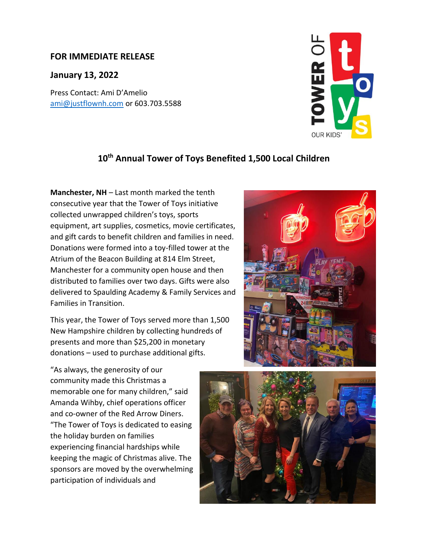## **FOR IMMEDIATE RELEASE**

## **January 13, 2022**

Press Contact: Ami D'Amelio [ami@justflownh.com](mailto:ami@justflownh.com) or 603.703.5588



## **10th Annual Tower of Toys Benefited 1,500 Local Children**

**Manchester, NH** – Last month marked the tenth consecutive year that the Tower of Toys initiative collected unwrapped children's toys, sports equipment, art supplies, cosmetics, movie certificates, and gift cards to benefit children and families in need. Donations were formed into a toy-filled tower at the Atrium of the Beacon Building at 814 Elm Street, Manchester for a community open house and then distributed to families over two days. Gifts were also delivered to Spaulding Academy & Family Services and Families in Transition.

This year, the Tower of Toys served more than 1,500 New Hampshire children by collecting hundreds of presents and more than \$25,200 in monetary donations – used to purchase additional gifts.



"As always, the generosity of our community made this Christmas a memorable one for many children," said Amanda Wihby, chief operations officer and co-owner of the Red Arrow Diners. "The Tower of Toys is dedicated to easing the holiday burden on families experiencing financial hardships while keeping the magic of Christmas alive. The sponsors are moved by the overwhelming participation of individuals and